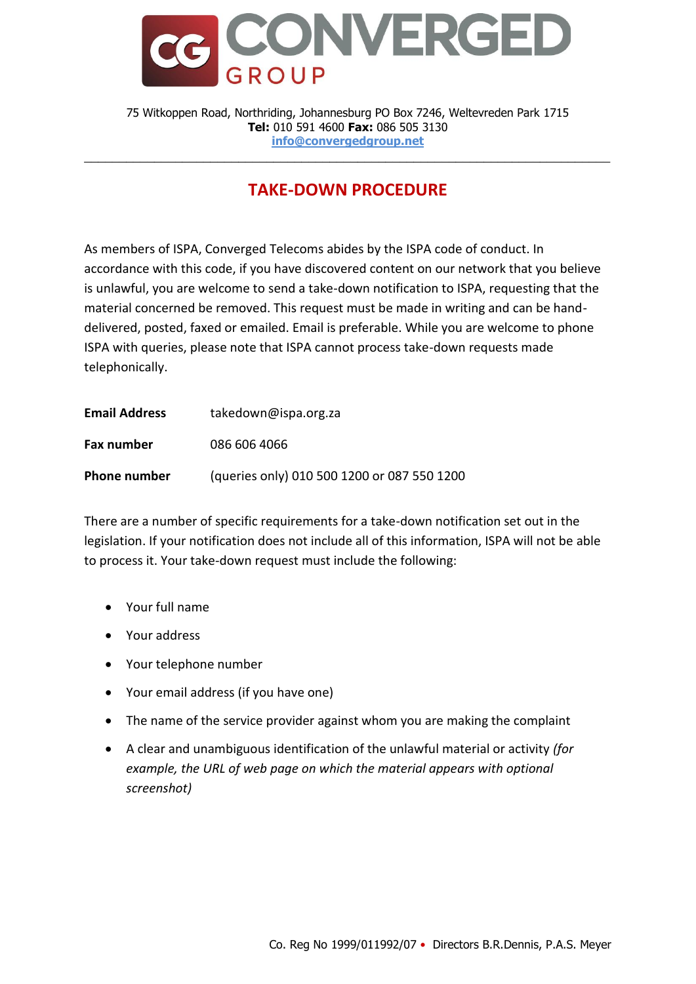

75 Witkoppen Road, Northriding, Johannesburg PO Box 7246, Weltevreden Park 1715 **Tel:** 010 591 4600 **Fax:** 086 505 3130 **info@convergedgroup.net**

\_\_\_\_\_\_\_\_\_\_\_\_\_\_\_\_\_\_\_\_\_\_\_\_\_\_\_\_\_\_\_\_\_\_\_\_\_\_\_\_\_\_\_\_\_\_\_\_\_\_\_\_\_\_\_\_\_\_\_\_\_\_\_\_\_\_\_\_\_\_\_\_\_\_\_

## **TAKE-DOWN PROCEDURE**

As members of ISPA, Converged Telecoms abides by the ISPA code of conduct. In accordance with this code, if you have discovered content on our network that you believe is unlawful, you are welcome to send a take-down notification to ISPA, requesting that the material concerned be removed. This request must be made in writing and can be handdelivered, posted, faxed or emailed. Email is preferable. While you are welcome to phone ISPA with queries, please note that ISPA cannot process take-down requests made telephonically.

| <b>Email Address</b> | takedown@ispa.org.za                        |
|----------------------|---------------------------------------------|
| Fax number           | 086 606 4066                                |
| <b>Phone number</b>  | (queries only) 010 500 1200 or 087 550 1200 |

There are a number of specific requirements for a take-down notification set out in the legislation. If your notification does not include all of this information, ISPA will not be able to process it. Your take-down request must include the following:

- Your full name
- Your address
- Your telephone number
- Your email address (if you have one)
- The name of the service provider against whom you are making the complaint
- A clear and unambiguous identification of the unlawful material or activity *(for example, the URL of web page on which the material appears with optional screenshot)*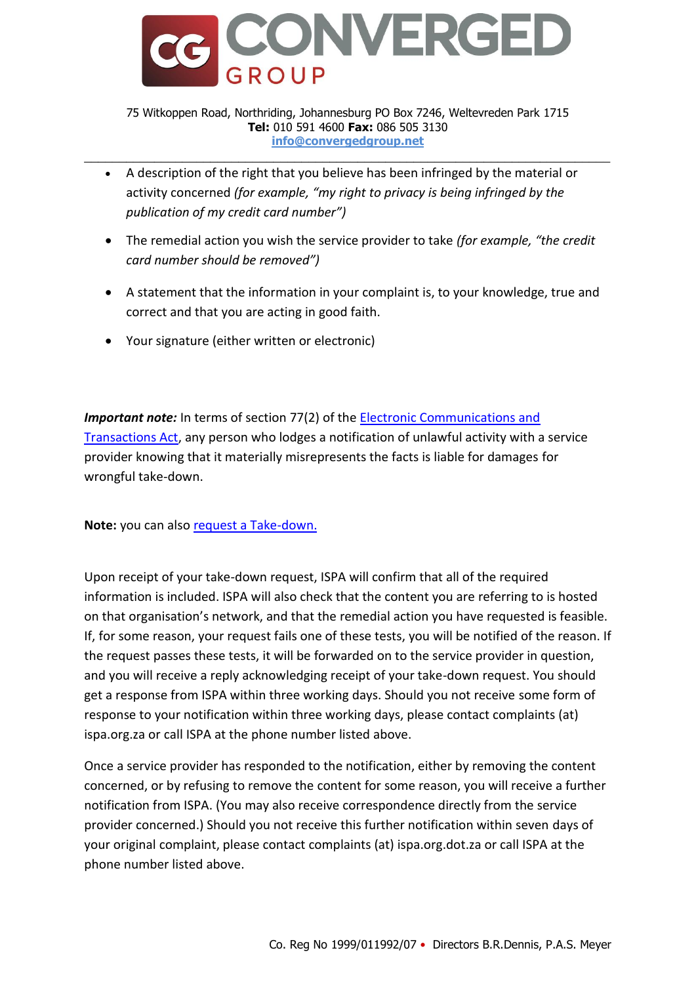

## 75 Witkoppen Road, Northriding, Johannesburg PO Box 7246, Weltevreden Park 1715 **Tel:** 010 591 4600 **Fax:** 086 505 3130 **info@convergedgroup.net**

\_\_\_\_\_\_\_\_\_\_\_\_\_\_\_\_\_\_\_\_\_\_\_\_\_\_\_\_\_\_\_\_\_\_\_\_\_\_\_\_\_\_\_\_\_\_\_\_\_\_\_\_\_\_\_\_\_\_\_\_\_\_\_\_\_\_\_\_\_\_\_\_\_\_\_

- A description of the right that you believe has been infringed by the material or activity concerned *(for example, "my right to privacy is being infringed by the publication of my credit card number")*
- The remedial action you wish the service provider to take *(for example, "the credit card number should be removed")*
- A statement that the information in your complaint is, to your knowledge, true and correct and that you are acting in good faith.
- Your signature (either written or electronic)

*Important note:* In terms of section 77(2) of the Electronic Communications and [Transactions Act,](http://www.internet.org.za/ect_act.html) any person who lodges a notification of unlawful activity with a service provider knowing that it materially misrepresents the facts is liable for damages for wrongful take-down.

**Note:** you can also [request a Take-down.](https://ispa.org.za/tdn/)

Upon receipt of your take-down request, ISPA will confirm that all of the required information is included. ISPA will also check that the content you are referring to is hosted on that organisation's network, and that the remedial action you have requested is feasible. If, for some reason, your request fails one of these tests, you will be notified of the reason. If the request passes these tests, it will be forwarded on to the service provider in question, and you will receive a reply acknowledging receipt of your take-down request. You should get a response from ISPA within three working days. Should you not receive some form of response to your notification within three working days, please contact complaints (at) ispa.org.za or call ISPA at the phone number listed above.

Once a service provider has responded to the notification, either by removing the content concerned, or by refusing to remove the content for some reason, you will receive a further notification from ISPA. (You may also receive correspondence directly from the service provider concerned.) Should you not receive this further notification within seven days of your original complaint, please contact complaints (at) ispa.org.dot.za or call ISPA at the phone number listed above.